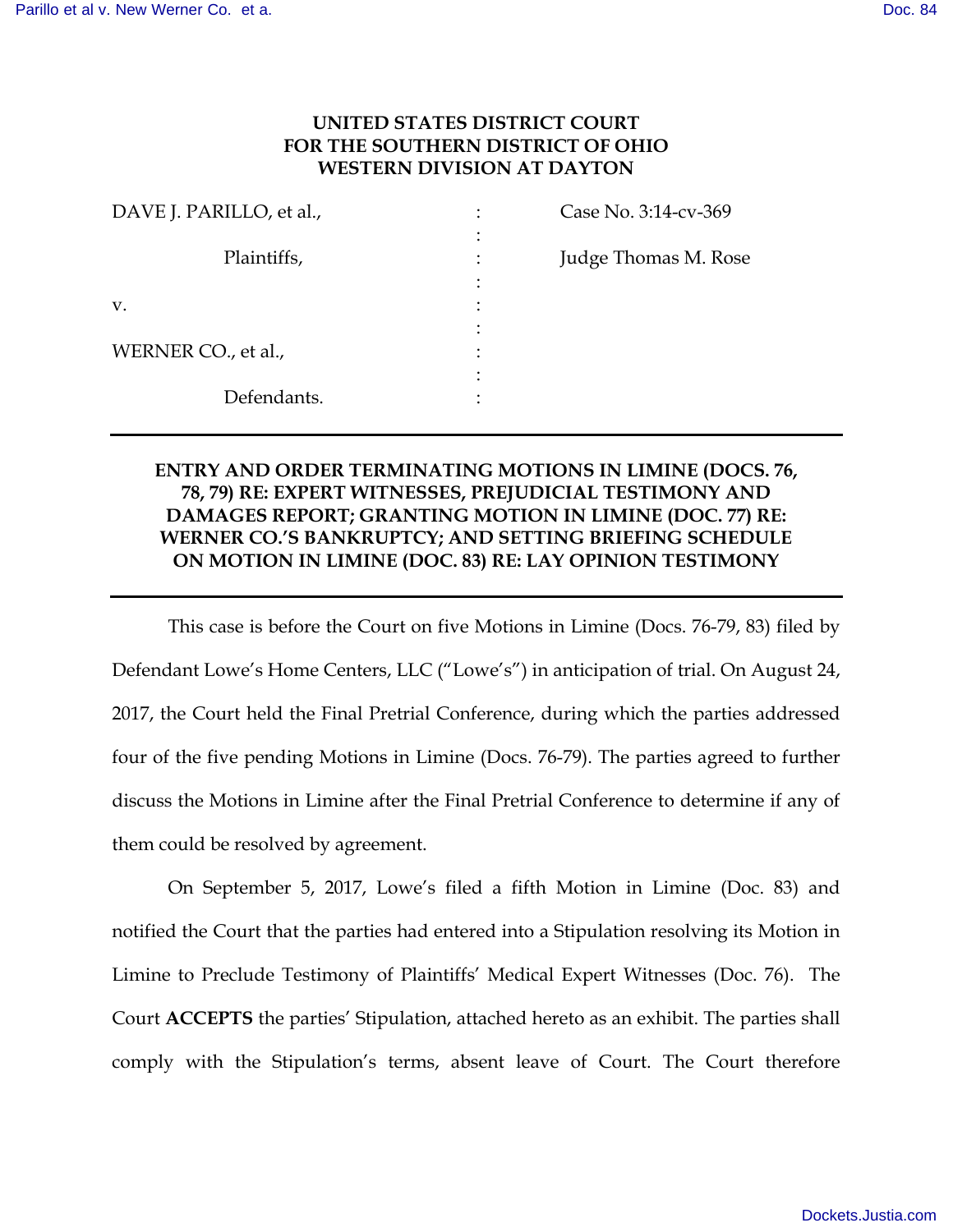## **UNITED STATES DISTRICT COURT FOR THE SOUTHERN DISTRICT OF OHIO WESTERN DIVISION AT DAYTON**

| DAVE J. PARILLO, et al., | Case No. 3:14-cv-369 |
|--------------------------|----------------------|
| Plaintiffs,              | Judge Thomas M. Rose |
| V.                       |                      |
| WERNER CO., et al.,      |                      |
| Defendants.              |                      |

## **ENTRY AND ORDER TERMINATING MOTIONS IN LIMINE (DOCS. 76, 78, 79) RE: EXPERT WITNESSES, PREJUDICIAL TESTIMONY AND DAMAGES REPORT; GRANTING MOTION IN LIMINE (DOC. 77) RE: WERNER CO.'S BANKRUPTCY; AND SETTING BRIEFING SCHEDULE ON MOTION IN LIMINE (DOC. 83) RE: LAY OPINION TESTIMONY**

 This case is before the Court on five Motions in Limine (Docs. 76-79, 83) filed by Defendant Lowe's Home Centers, LLC ("Lowe's") in anticipation of trial. On August 24, 2017, the Court held the Final Pretrial Conference, during which the parties addressed four of the five pending Motions in Limine (Docs. 76-79). The parties agreed to further discuss the Motions in Limine after the Final Pretrial Conference to determine if any of them could be resolved by agreement.

On September 5, 2017, Lowe's filed a fifth Motion in Limine (Doc. 83) and notified the Court that the parties had entered into a Stipulation resolving its Motion in Limine to Preclude Testimony of Plaintiffs' Medical Expert Witnesses (Doc. 76). The Court **ACCEPTS** the parties' Stipulation, attached hereto as an exhibit. The parties shall comply with the Stipulation's terms, absent leave of Court. The Court therefore